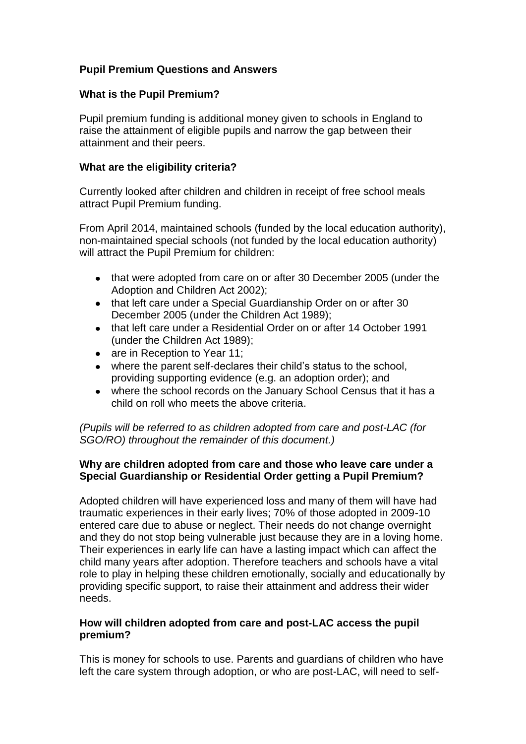# **Pupil Premium Questions and Answers**

#### **What is the Pupil Premium?**

Pupil premium funding is additional money given to schools in England to raise the attainment of eligible pupils and narrow the gap between their attainment and their peers.

#### **What are the eligibility criteria?**

Currently looked after children and children in receipt of free school meals attract Pupil Premium funding.

From April 2014, maintained schools (funded by the local education authority), non-maintained special schools (not funded by the local education authority) will attract the Pupil Premium for children:

- that were adopted from care on or after 30 December 2005 (under the Adoption and Children Act 2002);
- that left care under a Special Guardianship Order on or after 30 December 2005 (under the Children Act 1989);
- that left care under a Residential Order on or after 14 October 1991 (under the Children Act 1989);
- are in Reception to Year 11:
- where the parent self-declares their child's status to the school, providing supporting evidence (e.g. an adoption order); and
- where the school records on the January School Census that it has a child on roll who meets the above criteria.

*(Pupils will be referred to as children adopted from care and post-LAC (for SGO/RO) throughout the remainder of this document.)*

## **Why are children adopted from care and those who leave care under a Special Guardianship or Residential Order getting a Pupil Premium?**

Adopted children will have experienced loss and many of them will have had traumatic experiences in their early lives; 70% of those adopted in 2009-10 entered care due to abuse or neglect. Their needs do not change overnight and they do not stop being vulnerable just because they are in a loving home. Their experiences in early life can have a lasting impact which can affect the child many years after adoption. Therefore teachers and schools have a vital role to play in helping these children emotionally, socially and educationally by providing specific support, to raise their attainment and address their wider needs.

#### **How will children adopted from care and post-LAC access the pupil premium?**

This is money for schools to use. Parents and guardians of children who have left the care system through adoption, or who are post-LAC, will need to self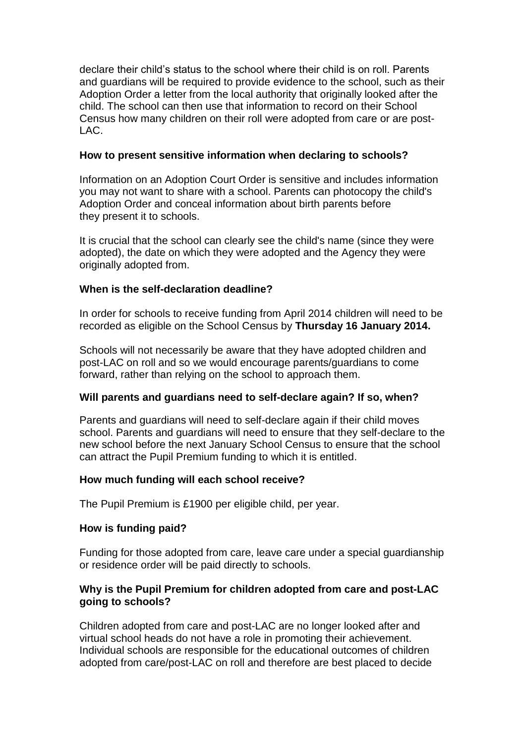declare their child's status to the school where their child is on roll. Parents and guardians will be required to provide evidence to the school, such as their Adoption Order a letter from the local authority that originally looked after the child. The school can then use that information to record on their School Census how many children on their roll were adopted from care or are post-LAC.

### **How to present sensitive information when declaring to schools?**

Information on an Adoption Court Order is sensitive and includes information you may not want to share with a school. Parents can photocopy the child's Adoption Order and conceal information about birth parents before they present it to schools.

It is crucial that the school can clearly see the child's name (since they were adopted), the date on which they were adopted and the Agency they were originally adopted from.

# **When is the self-declaration deadline?**

In order for schools to receive funding from April 2014 children will need to be recorded as eligible on the School Census by **Thursday 16 January 2014.** 

Schools will not necessarily be aware that they have adopted children and post-LAC on roll and so we would encourage parents/guardians to come forward, rather than relying on the school to approach them.

# **Will parents and guardians need to self-declare again? If so, when?**

Parents and guardians will need to self-declare again if their child moves school. Parents and guardians will need to ensure that they self-declare to the new school before the next January School Census to ensure that the school can attract the Pupil Premium funding to which it is entitled.

# **How much funding will each school receive?**

The Pupil Premium is £1900 per eligible child, per year.

### **How is funding paid?**

Funding for those adopted from care, leave care under a special guardianship or residence order will be paid directly to schools.

## **Why is the Pupil Premium for children adopted from care and post-LAC going to schools?**

Children adopted from care and post-LAC are no longer looked after and virtual school heads do not have a role in promoting their achievement. Individual schools are responsible for the educational outcomes of children adopted from care/post-LAC on roll and therefore are best placed to decide